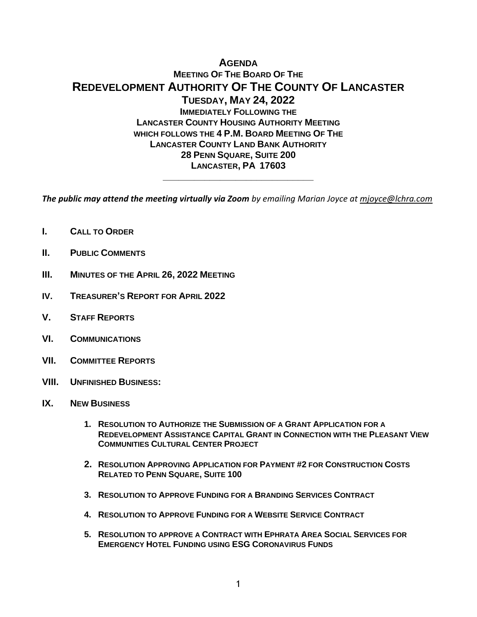# **AGENDA MEETING OF THE BOARD OF THE REDEVELOPMENT AUTHORITY OF THE COUNTY OF LANCASTER TUESDAY, MAY 24, 2022 IMMEDIATELY FOLLOWING THE LANCASTER COUNTY HOUSING AUTHORITY MEETING WHICH FOLLOWS THE 4 P.M. BOARD MEETING OF THE LANCASTER COUNTY LAND BANK AUTHORITY 28 PENN SQUARE, SUITE 200 LANCASTER, PA 17603**

*The public may attend the meeting virtually via Zoom by emailing Marian Joyce at [mjoyce@lchra.com](mailto:mjoyce@lchra.com)* 

**\_\_\_\_\_\_\_\_\_\_\_\_\_\_\_\_\_\_\_\_\_\_\_\_\_\_\_\_\_**

- **I. CALL TO ORDER**
- **II. PUBLIC COMMENTS**
- **III. MINUTES OF THE APRIL 26, 2022 MEETING**
- **IV. TREASURER'S REPORT FOR APRIL 2022**
- **V. STAFF REPORTS**
- **VI. COMMUNICATIONS**
- **VII. COMMITTEE REPORTS**
- **VIII. UNFINISHED BUSINESS:**
- **IX. NEW BUSINESS**
	- **1. RESOLUTION TO AUTHORIZE THE SUBMISSION OF A GRANT APPLICATION FOR A REDEVELOPMENT ASSISTANCE CAPITAL GRANT IN CONNECTION WITH THE PLEASANT VIEW COMMUNITIES CULTURAL CENTER PROJECT**
	- **2. RESOLUTION APPROVING APPLICATION FOR PAYMENT #2 FOR CONSTRUCTION COSTS RELATED TO PENN SQUARE, SUITE 100**
	- **3. RESOLUTION TO APPROVE FUNDING FOR A BRANDING SERVICES CONTRACT**
	- **4. RESOLUTION TO APPROVE FUNDING FOR A WEBSITE SERVICE CONTRACT**
	- **5. RESOLUTION TO APPROVE A CONTRACT WITH EPHRATA AREA SOCIAL SERVICES FOR EMERGENCY HOTEL FUNDING USING ESG CORONAVIRUS FUNDS**